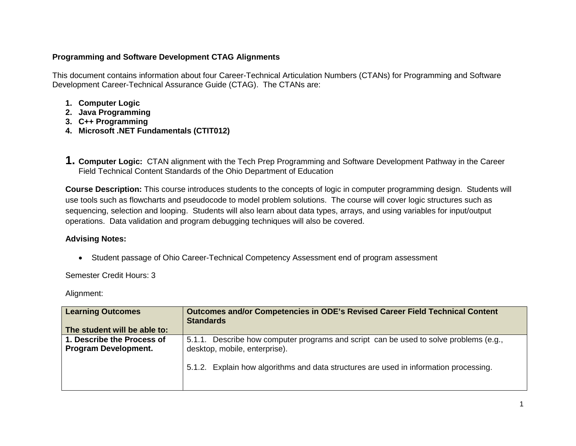## **Programming and Software Development CTAG Alignments**

This document contains information about four Career-Technical Articulation Numbers (CTANs) for Programming and Software Development Career-Technical Assurance Guide (CTAG). The CTANs are:

- **1. Computer Logic**
- **2. Java Programming**
- **3. C++ Programming**
- **4. Microsoft .NET Fundamentals (CTIT012)**
- **1. Computer Logic:** CTAN alignment with the Tech Prep Programming and Software Development Pathway in the Career Field Technical Content Standards of the Ohio Department of Education

**Course Description:** This course introduces students to the concepts of logic in computer programming design. Students will use tools such as flowcharts and pseudocode to model problem solutions. The course will cover logic structures such as sequencing, selection and looping. Students will also learn about data types, arrays, and using variables for input/output operations. Data validation and program debugging techniques will also be covered.

## **Advising Notes:**

• Student passage of Ohio Career-Technical Competency Assessment end of program assessment

Semester Credit Hours: 3

| <b>Learning Outcomes</b>                                  | <b>Outcomes and/or Competencies in ODE's Revised Career Field Technical Content</b><br><b>Standards</b>                |
|-----------------------------------------------------------|------------------------------------------------------------------------------------------------------------------------|
| The student will be able to:                              |                                                                                                                        |
| 1. Describe the Process of<br><b>Program Development.</b> | 5.1.1. Describe how computer programs and script can be used to solve problems (e.g.,<br>desktop, mobile, enterprise). |
|                                                           | 5.1.2. Explain how algorithms and data structures are used in information processing.                                  |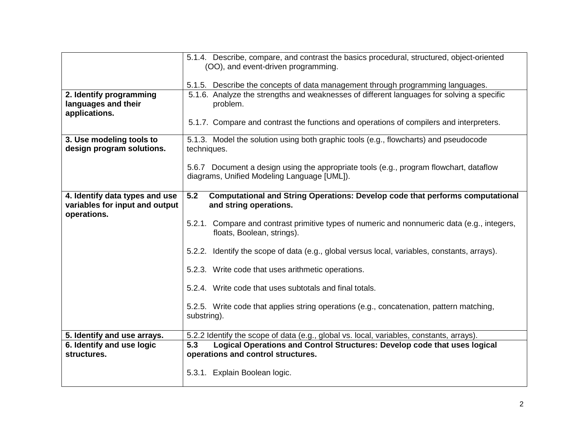|                                                                                 | 5.1.4. Describe, compare, and contrast the basics procedural, structured, object-oriented<br>(OO), and event-driven programming.      |
|---------------------------------------------------------------------------------|---------------------------------------------------------------------------------------------------------------------------------------|
|                                                                                 |                                                                                                                                       |
|                                                                                 | 5.1.5. Describe the concepts of data management through programming languages.                                                        |
| 2. Identify programming<br>languages and their<br>applications.                 | 5.1.6. Analyze the strengths and weaknesses of different languages for solving a specific<br>problem.                                 |
|                                                                                 | 5.1.7. Compare and contrast the functions and operations of compilers and interpreters.                                               |
| 3. Use modeling tools to<br>design program solutions.                           | 5.1.3. Model the solution using both graphic tools (e.g., flowcharts) and pseudocode<br>techniques.                                   |
|                                                                                 | 5.6.7 Document a design using the appropriate tools (e.g., program flowchart, dataflow<br>diagrams, Unified Modeling Language [UML]). |
| 4. Identify data types and use<br>variables for input and output<br>operations. | 5.2<br><b>Computational and String Operations: Develop code that performs computational</b><br>and string operations.                 |
|                                                                                 | 5.2.1. Compare and contrast primitive types of numeric and nonnumeric data (e.g., integers,<br>floats, Boolean, strings).             |
|                                                                                 | 5.2.2. Identify the scope of data (e.g., global versus local, variables, constants, arrays).                                          |
|                                                                                 | 5.2.3. Write code that uses arithmetic operations.                                                                                    |
|                                                                                 | 5.2.4. Write code that uses subtotals and final totals.                                                                               |
|                                                                                 | 5.2.5. Write code that applies string operations (e.g., concatenation, pattern matching,<br>substring).                               |
| 5. Identify and use arrays.                                                     | 5.2.2 Identify the scope of data (e.g., global vs. local, variables, constants, arrays).                                              |
| 6. Identify and use logic<br>structures.                                        | Logical Operations and Control Structures: Develop code that uses logical<br>5.3<br>operations and control structures.                |
|                                                                                 | 5.3.1. Explain Boolean logic.                                                                                                         |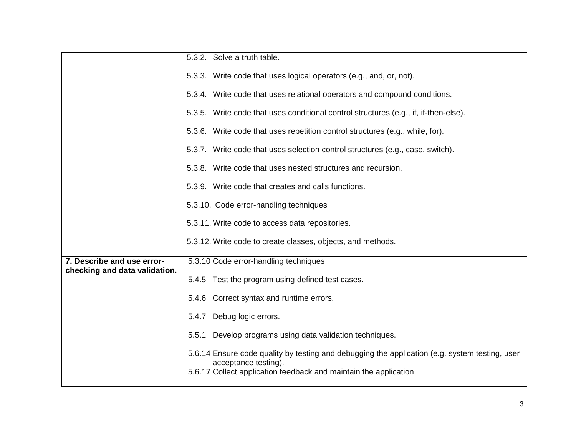|                               | 5.3.2. Solve a truth table.                                                                                                                                                                |
|-------------------------------|--------------------------------------------------------------------------------------------------------------------------------------------------------------------------------------------|
|                               |                                                                                                                                                                                            |
|                               | 5.3.3. Write code that uses logical operators (e.g., and, or, not).                                                                                                                        |
|                               | 5.3.4. Write code that uses relational operators and compound conditions.                                                                                                                  |
|                               | 5.3.5. Write code that uses conditional control structures (e.g., if, if-then-else).                                                                                                       |
|                               | 5.3.6. Write code that uses repetition control structures (e.g., while, for).                                                                                                              |
|                               | 5.3.7. Write code that uses selection control structures (e.g., case, switch).                                                                                                             |
|                               | 5.3.8. Write code that uses nested structures and recursion.                                                                                                                               |
|                               | 5.3.9. Write code that creates and calls functions.                                                                                                                                        |
|                               | 5.3.10. Code error-handling techniques                                                                                                                                                     |
|                               | 5.3.11. Write code to access data repositories.                                                                                                                                            |
|                               | 5.3.12. Write code to create classes, objects, and methods.                                                                                                                                |
| 7. Describe and use error-    | 5.3.10 Code error-handling techniques                                                                                                                                                      |
| checking and data validation. |                                                                                                                                                                                            |
|                               | 5.4.5 Test the program using defined test cases.                                                                                                                                           |
|                               | 5.4.6 Correct syntax and runtime errors.                                                                                                                                                   |
|                               | 5.4.7 Debug logic errors.                                                                                                                                                                  |
|                               | 5.5.1 Develop programs using data validation techniques.                                                                                                                                   |
|                               | 5.6.14 Ensure code quality by testing and debugging the application (e.g. system testing, user<br>acceptance testing).<br>5.6.17 Collect application feedback and maintain the application |
|                               |                                                                                                                                                                                            |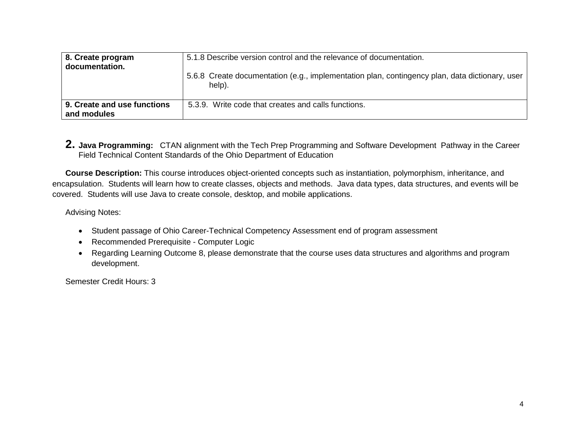| 8. Create program<br>documentation.        | 5.1.8 Describe version control and the relevance of documentation.                                         |
|--------------------------------------------|------------------------------------------------------------------------------------------------------------|
|                                            | 5.6.8 Create documentation (e.g., implementation plan, contingency plan, data dictionary, user  <br>help). |
| 9. Create and use functions<br>and modules | 5.3.9. Write code that creates and calls functions.                                                        |

**2. Java Programming:** CTAN alignment with the Tech Prep Programming and Software Development Pathway in the Career Field Technical Content Standards of the Ohio Department of Education

**Course Description:** This course introduces object-oriented concepts such as instantiation, polymorphism, inheritance, and encapsulation. Students will learn how to create classes, objects and methods. Java data types, data structures, and events will be covered. Students will use Java to create console, desktop, and mobile applications.

Advising Notes:

- Student passage of Ohio Career-Technical Competency Assessment end of program assessment
- Recommended Prerequisite Computer Logic
- Regarding Learning Outcome 8, please demonstrate that the course uses data structures and algorithms and program development.

Semester Credit Hours: 3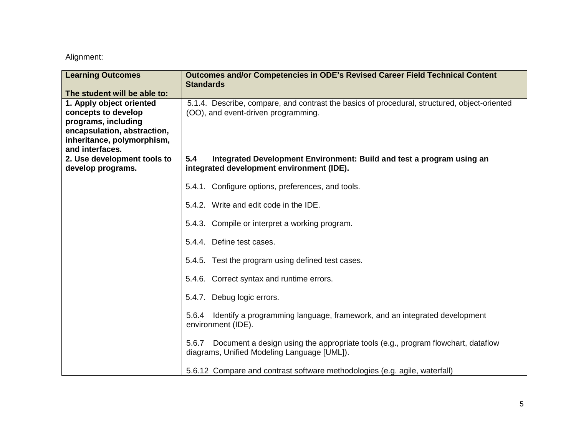| <b>Learning Outcomes</b>     | Outcomes and/or Competencies in ODE's Revised Career Field Technical Content<br><b>Standards</b>                                         |
|------------------------------|------------------------------------------------------------------------------------------------------------------------------------------|
| The student will be able to: |                                                                                                                                          |
| 1. Apply object oriented     | 5.1.4. Describe, compare, and contrast the basics of procedural, structured, object-oriented                                             |
| concepts to develop          | (OO), and event-driven programming.                                                                                                      |
| programs, including          |                                                                                                                                          |
| encapsulation, abstraction,  |                                                                                                                                          |
| inheritance, polymorphism,   |                                                                                                                                          |
| and interfaces.              |                                                                                                                                          |
| 2. Use development tools to  | 5.4<br>Integrated Development Environment: Build and test a program using an                                                             |
| develop programs.            | integrated development environment (IDE).                                                                                                |
|                              | 5.4.1. Configure options, preferences, and tools.                                                                                        |
|                              | 5.4.2. Write and edit code in the IDE.                                                                                                   |
|                              | 5.4.3. Compile or interpret a working program.                                                                                           |
|                              | 5.4.4. Define test cases.                                                                                                                |
|                              | 5.4.5. Test the program using defined test cases.                                                                                        |
|                              | 5.4.6. Correct syntax and runtime errors.                                                                                                |
|                              | 5.4.7. Debug logic errors.                                                                                                               |
|                              | 5.6.4 I dentify a programming language, framework, and an integrated development<br>environment (IDE).                                   |
|                              | Document a design using the appropriate tools (e.g., program flowchart, dataflow<br>5.6.7<br>diagrams, Unified Modeling Language [UML]). |
|                              | 5.6.12 Compare and contrast software methodologies (e.g. agile, waterfall)                                                               |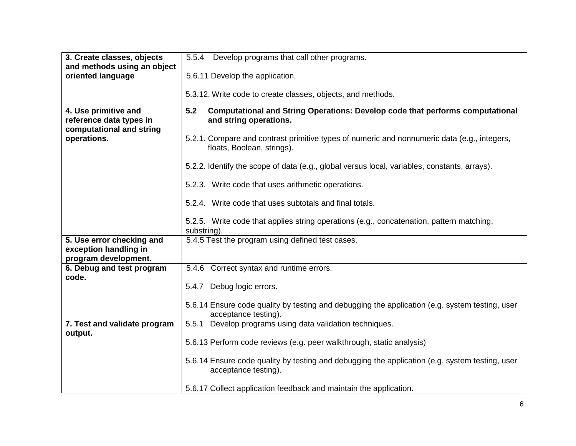| 3. Create classes, objects                                                  | 5.5.4<br>Develop programs that call other programs.                                                                       |
|-----------------------------------------------------------------------------|---------------------------------------------------------------------------------------------------------------------------|
| and methods using an object                                                 |                                                                                                                           |
| oriented language                                                           | 5.6.11 Develop the application.                                                                                           |
|                                                                             | 5.3.12. Write code to create classes, objects, and methods.                                                               |
| 4. Use primitive and<br>reference data types in<br>computational and string | Computational and String Operations: Develop code that performs computational<br>5.2<br>and string operations.            |
| operations.                                                                 | 5.2.1. Compare and contrast primitive types of numeric and nonnumeric data (e.g., integers,<br>floats, Boolean, strings). |
|                                                                             | 5.2.2. Identify the scope of data (e.g., global versus local, variables, constants, arrays).                              |
|                                                                             | 5.2.3. Write code that uses arithmetic operations.                                                                        |
|                                                                             | 5.2.4. Write code that uses subtotals and final totals.                                                                   |
|                                                                             | 5.2.5. Write code that applies string operations (e.g., concatenation, pattern matching,<br>substring).                   |
| 5. Use error checking and<br>exception handling in<br>program development.  | 5.4.5 Test the program using defined test cases.                                                                          |
| 6. Debug and test program                                                   | 5.4.6 Correct syntax and runtime errors.                                                                                  |
| code.                                                                       | 5.4.7 Debug logic errors.                                                                                                 |
|                                                                             | 5.6.14 Ensure code quality by testing and debugging the application (e.g. system testing, user<br>acceptance testing).    |
| 7. Test and validate program                                                | 5.5.1 Develop programs using data validation techniques.                                                                  |
| output.                                                                     | 5.6.13 Perform code reviews (e.g. peer walkthrough, static analysis)                                                      |
|                                                                             | 5.6.14 Ensure code quality by testing and debugging the application (e.g. system testing, user<br>acceptance testing).    |
|                                                                             | 5.6.17 Collect application feedback and maintain the application.                                                         |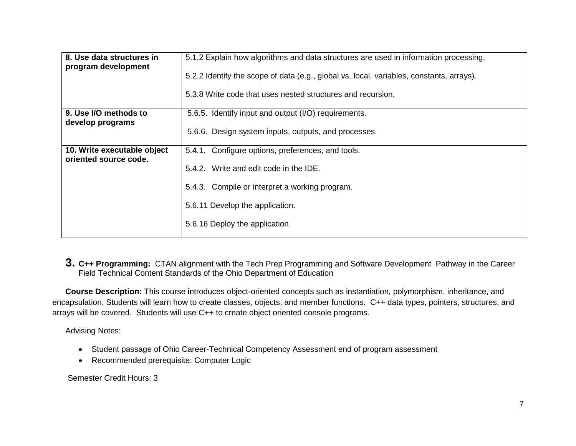| 8. Use data structures in<br>program development     | 5.1.2 Explain how algorithms and data structures are used in information processing.     |
|------------------------------------------------------|------------------------------------------------------------------------------------------|
|                                                      | 5.2.2 Identify the scope of data (e.g., global vs. local, variables, constants, arrays). |
|                                                      | 5.3.8 Write code that uses nested structures and recursion.                              |
| 9. Use I/O methods to<br>develop programs            | 5.6.5. Identify input and output (I/O) requirements.                                     |
|                                                      | 5.6.6. Design system inputs, outputs, and processes.                                     |
| 10. Write executable object<br>oriented source code. | 5.4.1. Configure options, preferences, and tools.                                        |
|                                                      | 5.4.2. Write and edit code in the IDE.                                                   |
|                                                      | 5.4.3. Compile or interpret a working program.                                           |
|                                                      | 5.6.11 Develop the application.                                                          |
|                                                      | 5.6.16 Deploy the application.                                                           |

**3. C++ Programming:** CTAN alignment with the Tech Prep Programming and Software Development Pathway in the Career Field Technical Content Standards of the Ohio Department of Education

**Course Description:** This course introduces object-oriented concepts such as instantiation, polymorphism, inheritance, and encapsulation. Students will learn how to create classes, objects, and member functions. C++ data types, pointers, structures, and arrays will be covered. Students will use C++ to create object oriented console programs.

Advising Notes:

- Student passage of Ohio Career-Technical Competency Assessment end of program assessment
- Recommended prerequisite: Computer Logic

Semester Credit Hours: 3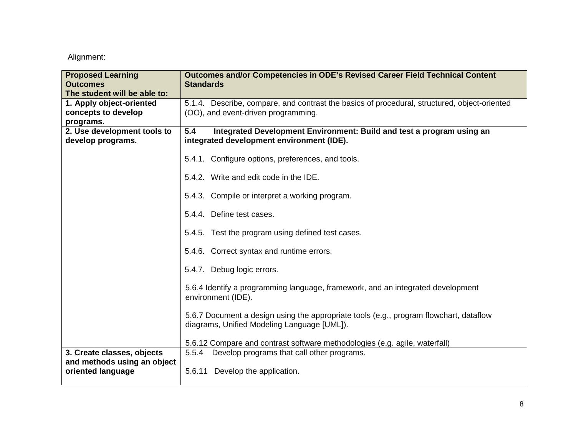| <b>Proposed Learning</b>     | <b>Outcomes and/or Competencies in ODE's Revised Career Field Technical Content</b>          |
|------------------------------|----------------------------------------------------------------------------------------------|
| <b>Outcomes</b>              | <b>Standards</b>                                                                             |
| The student will be able to: |                                                                                              |
| 1. Apply object-oriented     | 5.1.4. Describe, compare, and contrast the basics of procedural, structured, object-oriented |
| concepts to develop          | (OO), and event-driven programming.                                                          |
| programs.                    |                                                                                              |
| 2. Use development tools to  | 5.4<br>Integrated Development Environment: Build and test a program using an                 |
| develop programs.            | integrated development environment (IDE).                                                    |
|                              |                                                                                              |
|                              | 5.4.1. Configure options, preferences, and tools.                                            |
|                              |                                                                                              |
|                              | 5.4.2. Write and edit code in the IDE.                                                       |
|                              |                                                                                              |
|                              | 5.4.3. Compile or interpret a working program.                                               |
|                              |                                                                                              |
|                              | 5.4.4. Define test cases.                                                                    |
|                              | 5.4.5. Test the program using defined test cases.                                            |
|                              |                                                                                              |
|                              | 5.4.6. Correct syntax and runtime errors.                                                    |
|                              |                                                                                              |
|                              | 5.4.7. Debug logic errors.                                                                   |
|                              |                                                                                              |
|                              | 5.6.4 Identify a programming language, framework, and an integrated development              |
|                              | environment (IDE).                                                                           |
|                              |                                                                                              |
|                              | 5.6.7 Document a design using the appropriate tools (e.g., program flowchart, dataflow       |
|                              | diagrams, Unified Modeling Language [UML]).                                                  |
|                              | 5.6.12 Compare and contrast software methodologies (e.g. agile, waterfall)                   |
| 3. Create classes, objects   | 5.5.4<br>Develop programs that call other programs.                                          |
| and methods using an object  |                                                                                              |
| oriented language            | Develop the application.<br>5.6.11                                                           |
|                              |                                                                                              |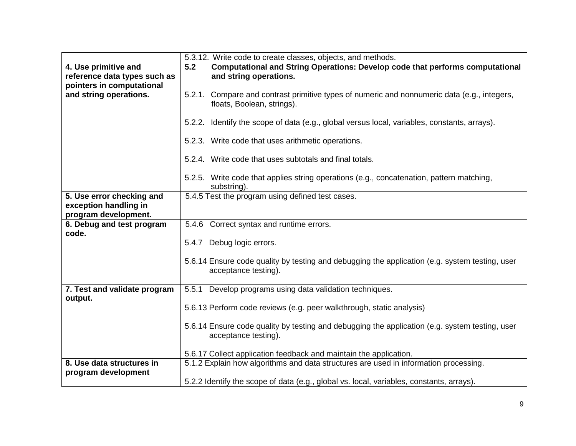|                              | 5.3.12. Write code to create classes, objects, and methods.                                                               |
|------------------------------|---------------------------------------------------------------------------------------------------------------------------|
| 4. Use primitive and         | Computational and String Operations: Develop code that performs computational<br>5.2                                      |
| reference data types such as | and string operations.                                                                                                    |
| pointers in computational    |                                                                                                                           |
| and string operations.       | 5.2.1. Compare and contrast primitive types of numeric and nonnumeric data (e.g., integers,<br>floats, Boolean, strings). |
|                              | 5.2.2. Identify the scope of data (e.g., global versus local, variables, constants, arrays).                              |
|                              | 5.2.3. Write code that uses arithmetic operations.                                                                        |
|                              | 5.2.4. Write code that uses subtotals and final totals.                                                                   |
|                              | 5.2.5. Write code that applies string operations (e.g., concatenation, pattern matching,<br>substring).                   |
| 5. Use error checking and    | 5.4.5 Test the program using defined test cases.                                                                          |
| exception handling in        |                                                                                                                           |
| program development.         |                                                                                                                           |
| 6. Debug and test program    | 5.4.6 Correct syntax and runtime errors.                                                                                  |
| code.                        |                                                                                                                           |
|                              | 5.4.7 Debug logic errors.                                                                                                 |
|                              | 5.6.14 Ensure code quality by testing and debugging the application (e.g. system testing, user<br>acceptance testing).    |
| 7. Test and validate program | 5.5.1<br>Develop programs using data validation techniques.                                                               |
| output.                      |                                                                                                                           |
|                              | 5.6.13 Perform code reviews (e.g. peer walkthrough, static analysis)                                                      |
|                              |                                                                                                                           |
|                              | 5.6.14 Ensure code quality by testing and debugging the application (e.g. system testing, user                            |
|                              | acceptance testing).                                                                                                      |
|                              | 5.6.17 Collect application feedback and maintain the application.                                                         |
| 8. Use data structures in    | 5.1.2 Explain how algorithms and data structures are used in information processing.                                      |
| program development          |                                                                                                                           |
|                              | 5.2.2 Identify the scope of data (e.g., global vs. local, variables, constants, arrays).                                  |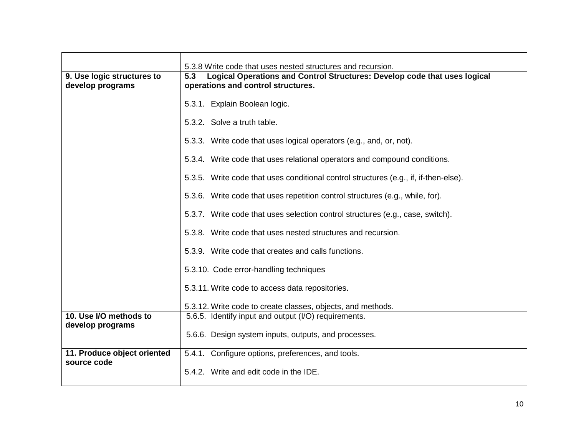|                                                | 5.3.8 Write code that uses nested structures and recursion.                                                            |
|------------------------------------------------|------------------------------------------------------------------------------------------------------------------------|
| 9. Use logic structures to<br>develop programs | Logical Operations and Control Structures: Develop code that uses logical<br>5.3<br>operations and control structures. |
|                                                | 5.3.1. Explain Boolean logic.                                                                                          |
|                                                | 5.3.2. Solve a truth table.                                                                                            |
|                                                | 5.3.3. Write code that uses logical operators (e.g., and, or, not).                                                    |
|                                                | 5.3.4. Write code that uses relational operators and compound conditions.                                              |
|                                                | 5.3.5. Write code that uses conditional control structures (e.g., if, if-then-else).                                   |
|                                                | 5.3.6. Write code that uses repetition control structures (e.g., while, for).                                          |
|                                                | 5.3.7. Write code that uses selection control structures (e.g., case, switch).                                         |
|                                                | 5.3.8. Write code that uses nested structures and recursion.                                                           |
|                                                | 5.3.9. Write code that creates and calls functions.                                                                    |
|                                                | 5.3.10. Code error-handling techniques                                                                                 |
|                                                | 5.3.11. Write code to access data repositories.                                                                        |
|                                                | 5.3.12. Write code to create classes, objects, and methods.                                                            |
| 10. Use I/O methods to                         | 5.6.5. Identify input and output (I/O) requirements.                                                                   |
| develop programs                               | 5.6.6. Design system inputs, outputs, and processes.                                                                   |
|                                                | 5.4.1. Configure options, preferences, and tools.                                                                      |
| 11. Produce object oriented<br>source code     |                                                                                                                        |
|                                                | 5.4.2. Write and edit code in the IDE.                                                                                 |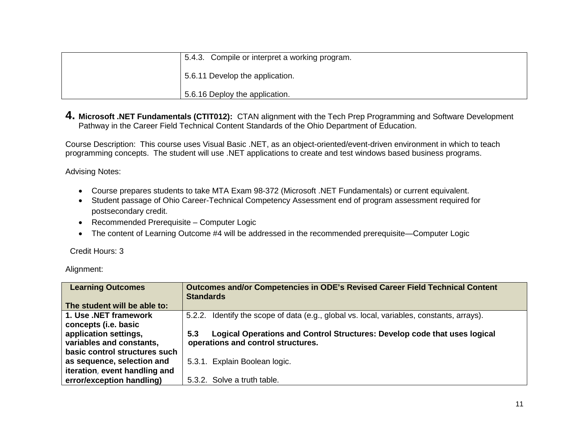| 5.4.3. Compile or interpret a working program. |
|------------------------------------------------|
| 5.6.11 Develop the application.                |
| 5.6.16 Deploy the application.                 |

**4. Microsoft .NET Fundamentals (CTIT012):** CTAN alignment with the Tech Prep Programming and Software Development Pathway in the Career Field Technical Content Standards of the Ohio Department of Education.

Course Description: This course uses Visual Basic .NET, as an object-oriented/event-driven environment in which to teach programming concepts. The student will use .NET applications to create and test windows based business programs.

Advising Notes:

- Course prepares students to take MTA Exam 98-372 (Microsoft .NET Fundamentals) or current equivalent.
- Student passage of Ohio Career-Technical Competency Assessment end of program assessment required for postsecondary credit.
- Recommended Prerequisite Computer Logic
- The content of Learning Outcome #4 will be addressed in the recommended prerequisite—Computer Logic

Credit Hours: 3

| <b>Learning Outcomes</b>      | <b>Outcomes and/or Competencies in ODE's Revised Career Field Technical Content</b><br><b>Standards</b> |
|-------------------------------|---------------------------------------------------------------------------------------------------------|
| The student will be able to:  |                                                                                                         |
| 1. Use .NET framework         | 5.2.2. Identify the scope of data (e.g., global vs. local, variables, constants, arrays).               |
| concepts (i.e. basic          |                                                                                                         |
| application settings,         | Logical Operations and Control Structures: Develop code that uses logical<br>5.3                        |
| variables and constants,      | operations and control structures.                                                                      |
| basic control structures such |                                                                                                         |
| as sequence, selection and    | 5.3.1. Explain Boolean logic.                                                                           |
| iteration, event handling and |                                                                                                         |
| error/exception handling)     | 5.3.2. Solve a truth table.                                                                             |